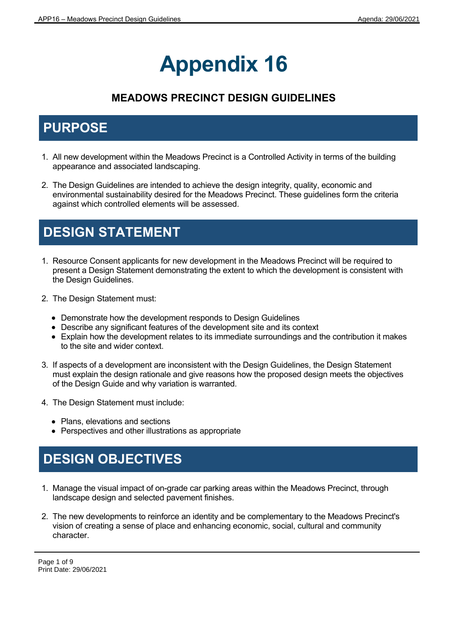# **Appendix 16**

### **MEADOWS PRECINCT DESIGN GUIDELINES**

## **PURPOSE**

- 1. All new development within the Meadows Precinct is a Controlled Activity in terms of the building appearance and associated landscaping.
- 2. The Design Guidelines are intended to achieve the design integrity, quality, economic and environmental sustainability desired for the Meadows Precinct. These guidelines form the criteria against which controlled elements will be assessed.

## **DESIGN STATEMENT**

- 1. Resource Consent applicants for new development in the Meadows Precinct will be required to present a Design Statement demonstrating the extent to which the development is consistent with the Design Guidelines.
- 2. The Design Statement must:
	- Demonstrate how the development responds to Design Guidelines
	- Describe any significant features of the development site and its context
	- Explain how the development relates to its immediate surroundings and the contribution it makes to the site and wider context.
- 3. If aspects of a development are inconsistent with the Design Guidelines, the Design Statement must explain the design rationale and give reasons how the proposed design meets the objectives of the Design Guide and why variation is warranted.
- 4. The Design Statement must include:
	- Plans, elevations and sections
	- Perspectives and other illustrations as appropriate

## **DESIGN OBJECTIVES**

- 1. Manage the visual impact of on-grade car parking areas within the Meadows Precinct, through landscape design and selected pavement finishes.
- 2. The new developments to reinforce an identity and be complementary to the Meadows Precinct's vision of creating a sense of place and enhancing economic, social, cultural and community character.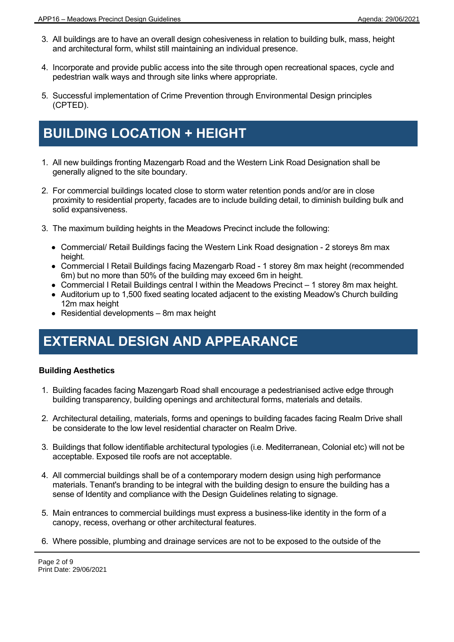- 3. All buildings are to have an overall design cohesiveness in relation to building bulk, mass, height and architectural form, whilst still maintaining an individual presence.
- 4. Incorporate and provide public access into the site through open recreational spaces, cycle and pedestrian walk ways and through site links where appropriate.
- 5. Successful implementation of Crime Prevention through Environmental Design principles (CPTED).

### **BUILDING LOCATION + HEIGHT**

- 1. All new buildings fronting Mazengarb Road and the Western Link Road Designation shall be generally aligned to the site boundary.
- 2. For commercial buildings located close to storm water retention ponds and/or are in close proximity to residential property, facades are to include building detail, to diminish building bulk and solid expansiveness.
- 3. The maximum building heights in the Meadows Precinct include the following:
	- Commercial/ Retail Buildings facing the Western Link Road designation 2 storeys 8m max height.
	- Commercial I Retail Buildings facing Mazengarb Road 1 storey 8m max height (recommended 6m) but no more than 50% of the building may exceed 6m in height.
	- Commercial I Retail Buildings central I within the Meadows Precinct 1 storey 8m max height.
	- Auditorium up to 1,500 fixed seating located adjacent to the existing Meadow's Church building 12m max height
	- Residential developments 8m max height

### **EXTERNAL DESIGN AND APPEARANCE**

#### **Building Aesthetics**

- 1. Building facades facing Mazengarb Road shall encourage a pedestrianised active edge through building transparency, building openings and architectural forms, materials and details.
- 2. Architectural detailing, materials, forms and openings to building facades facing Realm Drive shall be considerate to the low level residential character on Realm Drive.
- 3. Buildings that follow identifiable architectural typologies (i.e. Mediterranean, Colonial etc) will not be acceptable. Exposed tile roofs are not acceptable.
- 4. All commercial buildings shall be of a contemporary modern design using high performance materials. Tenant's branding to be integral with the building design to ensure the building has a sense of Identity and compliance with the Design Guidelines relating to signage.
- 5. Main entrances to commercial buildings must express a business-like identity in the form of a canopy, recess, overhang or other architectural features.
- 6. Where possible, plumbing and drainage services are not to be exposed to the outside of the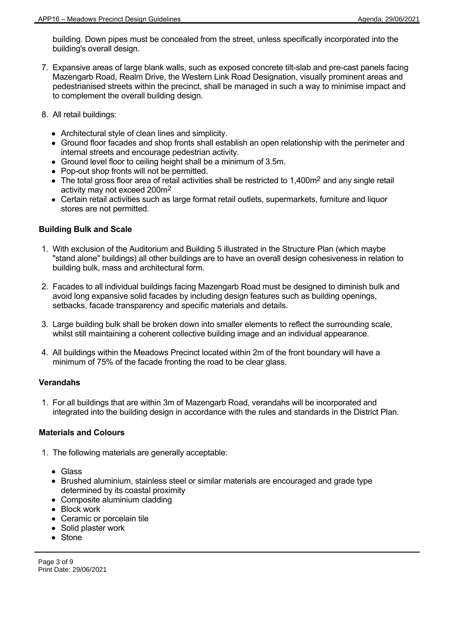building. Down pipes must be concealed from the street, unless specifically incorporated into the building's overall design.

- 7. Expansive areas of large blank walls, such as exposed concrete tilt-slab and pre-cast panels facing Mazengarb Road, Realm Drive, the Western Link Road Designation, visually prominent areas and pedestrianised streets within the precinct, shall be managed in such a way to minimise impact and to complement the overall building design.
- 8. All retail buildings:
	- Architectural style of clean lines and simplicity.
	- Ground floor facades and shop fronts shall establish an open relationship with the perimeter and internal streets and encourage pedestrian activity.
	- Ground level floor to ceiling height shall be a minimum of 3.5m.
	- Pop-out shop fronts will not be permitted.
	- The total gross floor area of retail activities shall be restricted to 1,400m<sup>2</sup> and any single retail activity may not exceed 200m 2
	- Certain retail activities such as large format retail outlets, supermarkets, furniture and liquor stores are not permitted.

#### **Building Bulk and Scale**

- 1. With exclusion of the Auditorium and Building 5 illustrated in the Structure Plan (which maybe "stand alone" buildings) all other buildings are to have an overall design cohesiveness in relation to building bulk, mass and architectural form.
- 2. Facades to all individual buildings facing Mazengarb Road must be designed to diminish bulk and avoid long expansive solid facades by including design features such as building openings, setbacks, facade transparency and specific materials and details.
- 3. Large building bulk shall be broken down into smaller elements to reflect the surrounding scale, whilst still maintaining a coherent collective building image and an individual appearance.
- 4. All buildings within the Meadows Precinct located within 2m of the front boundary will have a minimum of 75% of the facade fronting the road to be clear glass.

#### **Verandahs**

1. For all buildings that are within 3m of Mazengarb Road, verandahs will be incorporated and integrated into the building design in accordance with the rules and standards in the District Plan.

#### **Materials and Colours**

- 1. The following materials are generally acceptable:
	- Glass
	- Brushed aluminium, stainless steel or similar materials are encouraged and grade type determined by its coastal proximity
	- Composite aluminium cladding
	- Block work
	- Ceramic or porcelain tile
	- Solid plaster work
	- Stone

Page 3 of 9 Print Date: 29/06/2021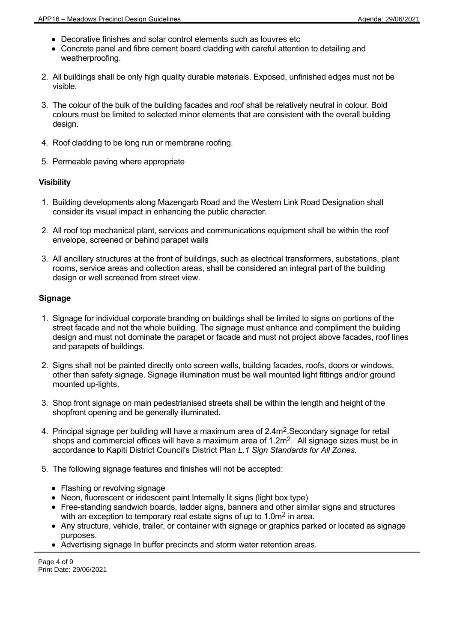- Decorative finishes and solar control elements such as louvres etc
- Concrete panel and fibre cement board cladding with careful attention to detailing and weatherproofing.
- 2. All buildings shall be only high quality durable materials. Exposed, unfinished edges must not be visible.
- 3. The colour of the bulk of the building facades and roof shall be relatively neutral in colour. Bold colours must be limited to selected minor elements that are consistent with the overall building design.
- 4. Roof cladding to be long run or membrane roofing.
- 5. Permeable paving where appropriate

#### **Visibility**

- 1. Building developments along Mazengarb Road and the Western Link Road Designation shall consider its visual impact in enhancing the public character.
- 2. All roof top mechanical plant, services and communications equipment shall be within the roof envelope, screened or behind parapet walls
- 3. All ancillary structures at the front of buildings, such as electrical transformers, substations, plant rooms, service areas and collection areas, shall be considered an integral part of the building design or well screened from street view.

#### **Signage**

- 1. Signage for individual corporate branding on buildings shall be limited to signs on portions of the street facade and not the whole building. The signage must enhance and compliment the building design and must not dominate the parapet or facade and must not project above facades, roof lines and parapets of buildings.
- 2. Signs shall not be painted directly onto screen walls, building facades, roofs, doors or windows, other than safety signage. Signage illumination must be wall mounted light fittings and/or ground mounted up-lights.
- 3. Shop front signage on main pedestrianised streets shall be within the length and height of the shopfront opening and be generally illuminated.
- 4. Principal signage per building will have a maximum area of 2.4m<sup>2</sup>. Secondary signage for retail shops and commercial offices will have a maximum area of 1.2m<sup>2</sup>. All signage sizes must be in accordance to Kapiti District Council's District Plan *L.1 Sign Standards for All Zones.*
- 5. The following signage features and finishes will not be accepted:
	- Flashing or revolving signage
	- Neon, fluorescent or iridescent paint Internally lit signs (light box type)
	- Free-standing sandwich boards, ladder signs, banners and other similar signs and structures with an exception to temporary real estate signs of up to 1.0m<sup>2</sup> in area.
	- Any structure, vehicle, trailer, or container with signage or graphics parked or located as signage purposes.
	- Advertising signage In buffer precincts and storm water retention areas.

Page 4 of 9 Print Date: 29/06/2021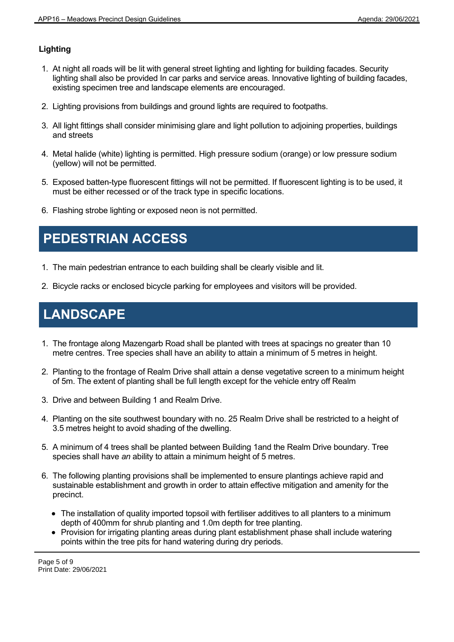#### **Lighting**

- 1. At night all roads will be lit with general street lighting and lighting for building facades. Security lighting shall also be provided In car parks and service areas. Innovative lighting of building facades, existing specimen tree and landscape elements are encouraged.
- 2. Lighting provisions from buildings and ground lights are required to footpaths.
- 3. All light fittings shall consider minimising glare and light pollution to adjoining properties, buildings and streets
- 4. Metal halide (white) lighting is permitted. High pressure sodium (orange) or low pressure sodium (yellow) will not be permitted.
- 5. Exposed batten-type fluorescent fittings will not be permitted. If fluorescent lighting is to be used, it must be either recessed or of the track type in specific locations.
- 6. Flashing strobe lighting or exposed neon is not permitted.

### **PEDESTRIAN ACCESS**

- 1. The main pedestrian entrance to each building shall be clearly visible and lit.
- 2. Bicycle racks or enclosed bicycle parking for employees and visitors will be provided.

## **LANDSCAPE**

- 1. The frontage along Mazengarb Road shall be planted with trees at spacings no greater than 10 metre centres. Tree species shall have an ability to attain a minimum of 5 metres in height.
- 2. Planting to the frontage of Realm Drive shall attain a dense vegetative screen to a minimum height of 5m. The extent of planting shall be full length except for the vehicle entry off Realm
- 3. Drive and between Building 1 and Realm Drive.
- 4. Planting on the site southwest boundary with no. 25 Realm Drive shall be restricted to a height of 3.5 metres height to avoid shading of the dwelling.
- 5. A minimum of 4 trees shall be planted between Building 1and the Realm Drive boundary. Tree species shall have *an* ability to attain a minimum height of 5 metres.
- 6. The following planting provisions shall be implemented to ensure plantings achieve rapid and sustainable establishment and growth in order to attain effective mitigation and amenity for the precinct.
	- The installation of quality imported topsoil with fertiliser additives to all planters to a minimum depth of 400mm for shrub planting and 1.0m depth for tree planting.
	- Provision for irrigating planting areas during plant establishment phase shall include watering points within the tree pits for hand watering during dry periods.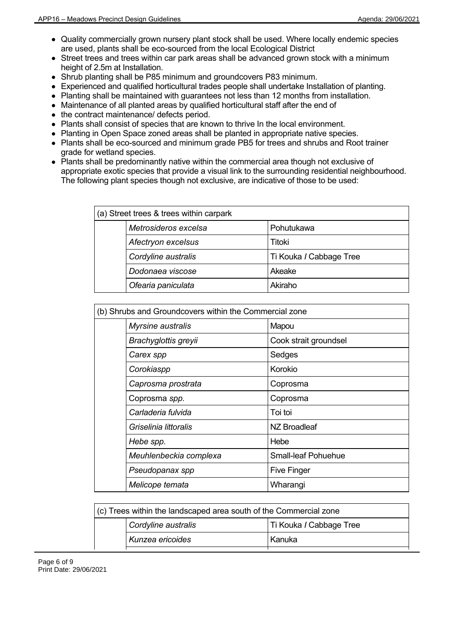- Quality commercially grown nursery plant stock shall be used. Where locally endemic species are used, plants shall be eco-sourced from the local Ecological District
- Street trees and trees within car park areas shall be advanced grown stock with a minimum height of 2.5m at Installation.
- Shrub planting shall be P85 minimum and groundcovers P83 minimum.
- Experienced and qualified horticultural trades people shall undertake Installation of planting.
- Planting shall be maintained with guarantees not less than 12 months from installation.
- Maintenance of all planted areas by qualified horticultural staff after the end of
- the contract maintenance/ defects period.
- Plants shall consist of species that are known to thrive In the local environment.
- Planting in Open Space zoned areas shall be planted in appropriate native species.
- Plants shall be eco-sourced and minimum grade PB5 for trees and shrubs and Root trainer grade for wetland species.
- Plants shall be predominantly native within the commercial area though not exclusive of appropriate exotic species that provide a visual link to the surrounding residential neighbourhood. The following plant species though not exclusive, are indicative of those to be used:

| (a) Street trees & trees within carpark |                      |                         |  |  |
|-----------------------------------------|----------------------|-------------------------|--|--|
|                                         | Metrosideros excelsa | Pohutukawa              |  |  |
|                                         | Afectryon excelsus   | Titoki                  |  |  |
|                                         | Cordyline australis  | Ti Kouka / Cabbage Tree |  |  |
|                                         | Dodonaea viscose     | Akeake                  |  |  |
|                                         | Ofearia paniculata   | Akiraho                 |  |  |

| (b) Shrubs and Groundcovers within the Commercial zone |                        |                            |  |  |
|--------------------------------------------------------|------------------------|----------------------------|--|--|
|                                                        | Myrsine australis      | Mapou                      |  |  |
|                                                        | Brachyglottis greyii   | Cook strait groundsel      |  |  |
|                                                        | Carex spp              | Sedges                     |  |  |
|                                                        | Corokiaspp             | Korokio                    |  |  |
|                                                        | Caprosma prostrata     | Coprosma                   |  |  |
|                                                        | Coprosma spp.          | Coprosma                   |  |  |
|                                                        | Carladeria fulvida     | Toi toi                    |  |  |
|                                                        | Griselinia littoralis  | NZ Broadleaf               |  |  |
|                                                        | Hebe spp.              | Hebe                       |  |  |
|                                                        | Meuhlenbeckia complexa | <b>Small-leaf Pohuehue</b> |  |  |
|                                                        | Pseudopanax spp        | <b>Five Finger</b>         |  |  |
|                                                        | Melicope temata        | Wharangi                   |  |  |

|  | (c) Trees within the landscaped area south of the Commercial zone |                         |  |
|--|-------------------------------------------------------------------|-------------------------|--|
|  | Cordyline australis                                               | Ti Kouka / Cabbage Tree |  |
|  | Kunzea ericoides                                                  | Kanuka                  |  |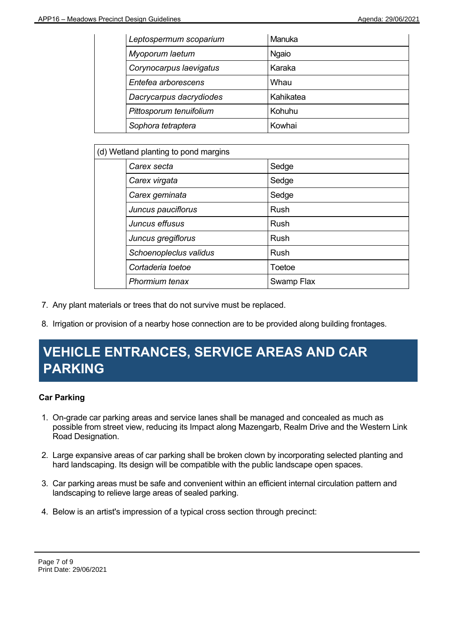| Leptospermum scoparium  | Manuka    |
|-------------------------|-----------|
| Myoporum laetum         | Ngaio     |
| Corynocarpus laevigatus | Karaka    |
| Entefea arborescens     | Whau      |
| Dacrycarpus dacrydiodes | Kahikatea |
| Pittosporum tenuifolium | Kohuhu    |
| Sophora tetraptera      | Kowhai    |

| (d) Wetland planting to pond margins |                        |            |  |  |
|--------------------------------------|------------------------|------------|--|--|
|                                      | Carex secta            | Sedge      |  |  |
|                                      | Carex virgata          | Sedge      |  |  |
|                                      | Carex geminata         | Sedge      |  |  |
|                                      | Juncus pauciflorus     | Rush       |  |  |
|                                      | Juncus effusus         | Rush       |  |  |
|                                      | Juncus gregiflorus     | Rush       |  |  |
|                                      | Schoenopleclus validus | Rush       |  |  |
|                                      | Cortaderia toetoe      | Toetoe     |  |  |
|                                      | Phormium tenax         | Swamp Flax |  |  |

- 7. Any plant materials or trees that do not survive must be replaced.
- 8. Irrigation or provision of a nearby hose connection are to be provided along building frontages.

### **VEHICLE ENTRANCES, SERVICE AREAS AND CAR PARKING**

#### **Car Parking**

- 1. On-grade car parking areas and service lanes shall be managed and concealed as much as possible from street view, reducing its Impact along Mazengarb, Realm Drive and the Western Link Road Designation.
- 2. Large expansive areas of car parking shall be broken clown by incorporating selected planting and hard landscaping. Its design will be compatible with the public landscape open spaces.
- 3. Car parking areas must be safe and convenient within an efficient internal circulation pattern and landscaping to relieve large areas of sealed parking.
- 4. Below is an artist's impression of a typical cross section through precinct: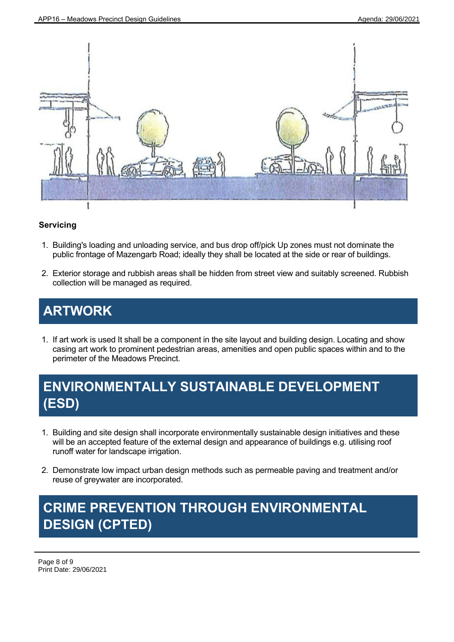

#### **Servicing**

- 1. Building's loading and unloading service, and bus drop off/pick Up zones must not dominate the public frontage of Mazengarb Road; ideally they shall be located at the side or rear of buildings.
- 2. Exterior storage and rubbish areas shall be hidden from street view and suitably screened. Rubbish collection will be managed as required.

### **ARTWORK**

1. If art work is used It shall be a component in the site layout and building design. Locating and show casing art work to prominent pedestrian areas, amenities and open public spaces within and to the perimeter of the Meadows Precinct.

### **ENVIRONMENTALLY SUSTAINABLE DEVELOPMENT (ESD)**

- 1. Building and site design shall incorporate environmentally sustainable design initiatives and these will be an accepted feature of the external design and appearance of buildings e.g. utilising roof runoff water for landscape irrigation.
- 2. Demonstrate low impact urban design methods such as permeable paving and treatment and/or reuse of greywater are incorporated.

### **CRIME PREVENTION THROUGH ENVIRONMENTAL DESIGN (CPTED)**